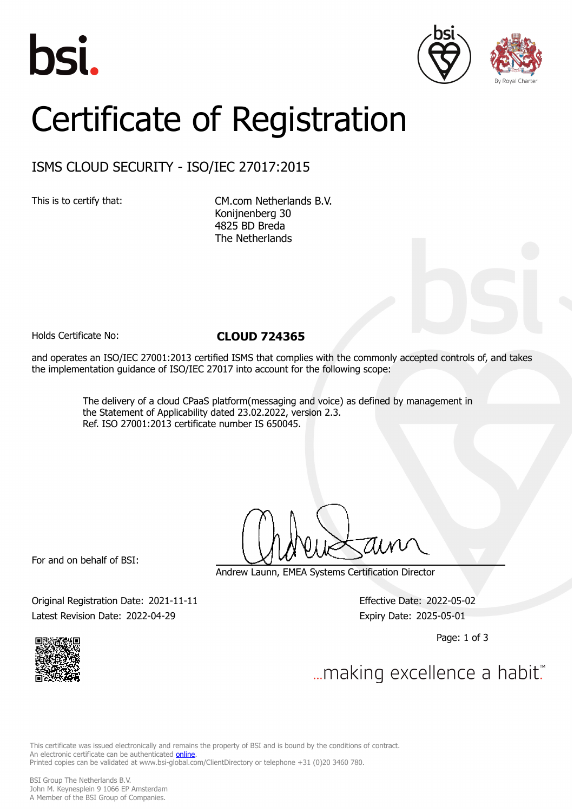





# Certificate of Registration

## ISMS CLOUD SECURITY - ISO/IEC 27017:2015

This is to certify that: CM.com Netherlands B.V. Konijnenberg 30 4825 BD Breda The Netherlands

### Holds Certificate No: **CLOUD 724365**

and operates an ISO/IEC 27001:2013 certified ISMS that complies with the commonly accepted controls of, and takes the implementation guidance of ISO/IEC 27017 into account for the following scope:

> The delivery of a cloud CPaaS platform(messaging and voice) as defined by management in the Statement of Applicability dated 23.02.2022, version 2.3. Ref. ISO 27001:2013 certificate number IS 650045.

For and on behalf of BSI:

Andrew Launn, EMEA Systems Certification Director

Original Registration Date: 2021-11-11 Effective Date: 2022-05-02 Latest Revision Date: 2022-04-29 Expiry Date: 2025-05-01

Page: 1 of 3



... making excellence a habit.

This certificate was issued electronically and remains the property of BSI and is bound by the conditions of contract. An electronic certificate can be authenticated **[online](https://pgplus.bsigroup.com/CertificateValidation/CertificateValidator.aspx?CertificateNumber=CLOUD+724365&ReIssueDate=29%2f04%2f2022&Template=cemea_en)**. Printed copies can be validated at www.bsi-global.com/ClientDirectory or telephone +31 (0)20 3460 780.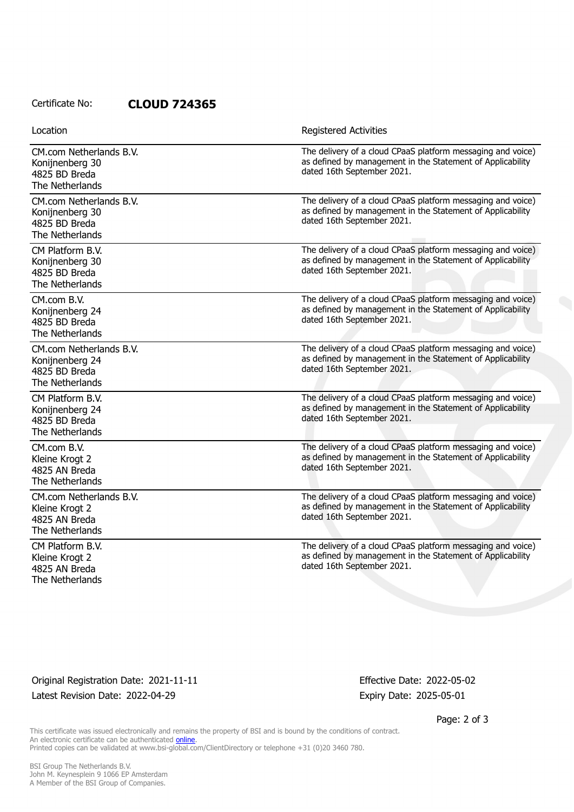Certificate No: **CLOUD 724365**

| Location                                                                       | <b>Registered Activities</b>                                                                                                                            |
|--------------------------------------------------------------------------------|---------------------------------------------------------------------------------------------------------------------------------------------------------|
| CM.com Netherlands B.V.<br>Konijnenberg 30<br>4825 BD Breda<br>The Netherlands | The delivery of a cloud CPaaS platform messaging and voice)<br>as defined by management in the Statement of Applicability<br>dated 16th September 2021. |
| CM.com Netherlands B.V.<br>Konijnenberg 30<br>4825 BD Breda<br>The Netherlands | The delivery of a cloud CPaaS platform messaging and voice)<br>as defined by management in the Statement of Applicability<br>dated 16th September 2021. |
| CM Platform B.V.<br>Konijnenberg 30<br>4825 BD Breda<br>The Netherlands        | The delivery of a cloud CPaaS platform messaging and voice)<br>as defined by management in the Statement of Applicability<br>dated 16th September 2021. |
| CM.com B.V.<br>Konijnenberg 24<br>4825 BD Breda<br>The Netherlands             | The delivery of a cloud CPaaS platform messaging and voice)<br>as defined by management in the Statement of Applicability<br>dated 16th September 2021. |
| CM.com Netherlands B.V.<br>Konijnenberg 24<br>4825 BD Breda<br>The Netherlands | The delivery of a cloud CPaaS platform messaging and voice)<br>as defined by management in the Statement of Applicability<br>dated 16th September 2021. |
| CM Platform B.V.<br>Konijnenberg 24<br>4825 BD Breda<br>The Netherlands        | The delivery of a cloud CPaaS platform messaging and voice)<br>as defined by management in the Statement of Applicability<br>dated 16th September 2021. |
| CM.com B.V.<br>Kleine Krogt 2<br>4825 AN Breda<br>The Netherlands              | The delivery of a cloud CPaaS platform messaging and voice)<br>as defined by management in the Statement of Applicability<br>dated 16th September 2021. |
| CM.com Netherlands B.V.<br>Kleine Krogt 2<br>4825 AN Breda<br>The Netherlands  | The delivery of a cloud CPaaS platform messaging and voice)<br>as defined by management in the Statement of Applicability<br>dated 16th September 2021. |
| CM Platform B.V.<br>Kleine Krogt 2<br>4825 AN Breda<br>The Netherlands         | The delivery of a cloud CPaaS platform messaging and voice)<br>as defined by management in the Statement of Applicability<br>dated 16th September 2021. |

Original Registration Date: 2021-11-11 Effective Date: 2022-05-02 Latest Revision Date: 2022-04-29 Expiry Date: 2025-05-01

Page: 2 of 3

This certificate was issued electronically and remains the property of BSI and is bound by the conditions of contract. An electronic certificate can be authenticated **[online](https://pgplus.bsigroup.com/CertificateValidation/CertificateValidator.aspx?CertificateNumber=CLOUD+724365&ReIssueDate=29%2f04%2f2022&Template=cemea_en)**. Printed copies can be validated at www.bsi-global.com/ClientDirectory or telephone +31 (0)20 3460 780.